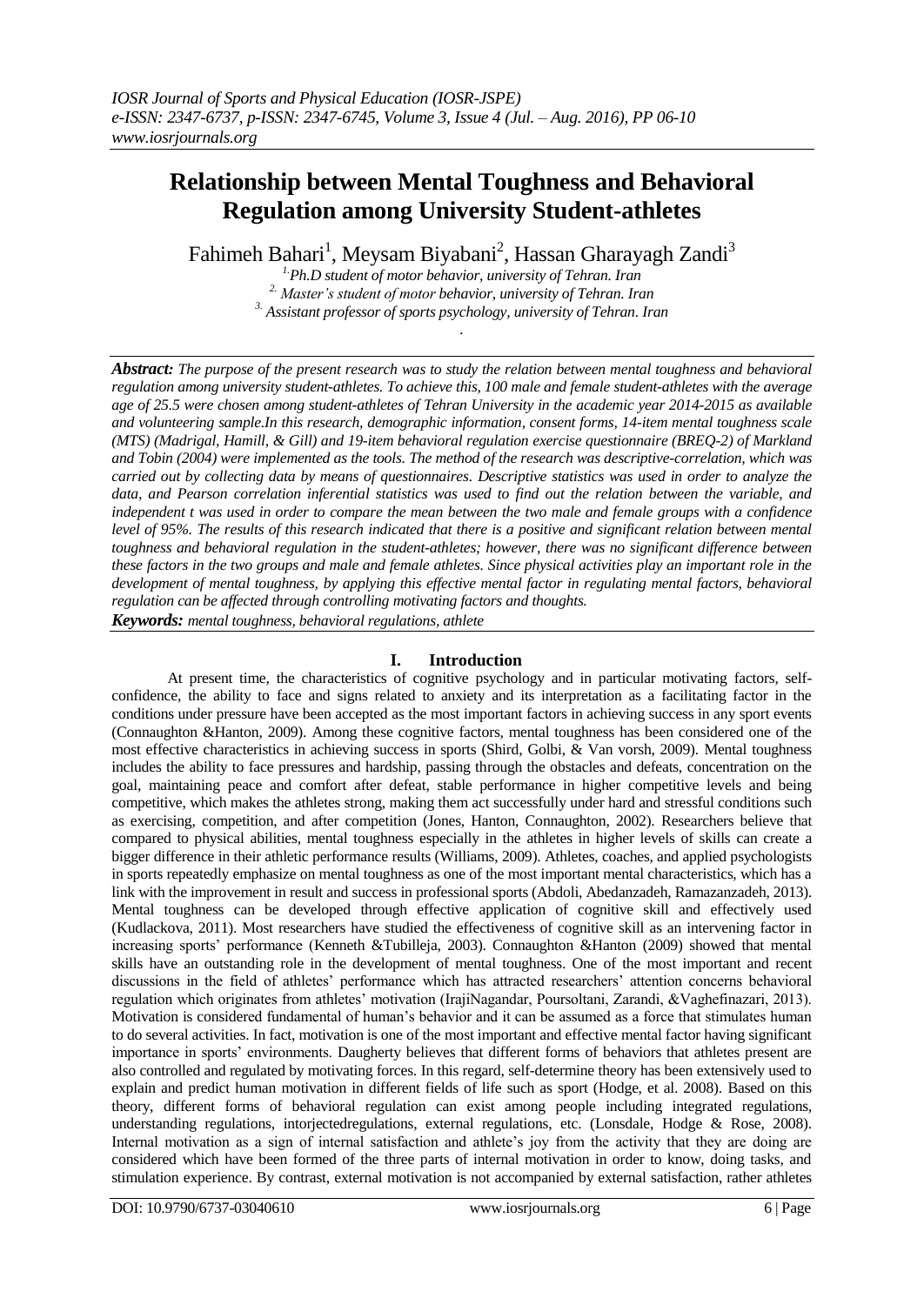# **Relationship between Mental Toughness and Behavioral Regulation among University Student-athletes**

Fahimeh Bahari<sup>1</sup>, Meysam Biyabani<sup>2</sup>, Hassan Gharayagh Zandi<sup>3</sup>

*1.Ph.D student of motor behavior, university of Tehran. Iran 2. Master's student of motor behavior, university of Tehran. Iran 3. Assistant professor of sports psychology, university of Tehran. Iran*

*.*

*Abstract: The purpose of the present research was to study the relation between mental toughness and behavioral regulation among university student-athletes. To achieve this, 100 male and female student-athletes with the average age of 25.5 were chosen among student-athletes of Tehran University in the academic year 2014-2015 as available and volunteering sample.In this research, demographic information, consent forms, 14-item mental toughness scale (MTS) (Madrigal, Hamill, & Gill) and 19-item behavioral regulation exercise questionnaire (BREQ-2) of Markland and Tobin (2004) were implemented as the tools. The method of the research was descriptive-correlation, which was carried out by collecting data by means of questionnaires. Descriptive statistics was used in order to analyze the data, and Pearson correlation inferential statistics was used to find out the relation between the variable, and independent t was used in order to compare the mean between the two male and female groups with a confidence level of 95%. The results of this research indicated that there is a positive and significant relation between mental toughness and behavioral regulation in the student-athletes; however, there was no significant difference between these factors in the two groups and male and female athletes. Since physical activities play an important role in the development of mental toughness, by applying this effective mental factor in regulating mental factors, behavioral regulation can be affected through controlling motivating factors and thoughts.* 

*Keywords: mental toughness, behavioral regulations, athlete*

### **I. Introduction**

At present time, the characteristics of cognitive psychology and in particular motivating factors, selfconfidence, the ability to face and signs related to anxiety and its interpretation as a facilitating factor in the conditions under pressure have been accepted as the most important factors in achieving success in any sport events (Connaughton &Hanton, 2009). Among these cognitive factors, mental toughness has been considered one of the most effective characteristics in achieving success in sports (Shird, Golbi, & Van vorsh, 2009). Mental toughness includes the ability to face pressures and hardship, passing through the obstacles and defeats, concentration on the goal, maintaining peace and comfort after defeat, stable performance in higher competitive levels and being competitive, which makes the athletes strong, making them act successfully under hard and stressful conditions such as exercising, competition, and after competition (Jones, Hanton, Connaughton, 2002). Researchers believe that compared to physical abilities, mental toughness especially in the athletes in higher levels of skills can create a bigger difference in their athletic performance results (Williams, 2009). Athletes, coaches, and applied psychologists in sports repeatedly emphasize on mental toughness as one of the most important mental characteristics, which has a link with the improvement in result and success in professional sports (Abdoli, Abedanzadeh, Ramazanzadeh, 2013). Mental toughness can be developed through effective application of cognitive skill and effectively used (Kudlackova, 2011). Most researchers have studied the effectiveness of cognitive skill as an intervening factor in increasing sports' performance (Kenneth &Tubilleja, 2003). Connaughton &Hanton (2009) showed that mental skills have an outstanding role in the development of mental toughness. One of the most important and recent discussions in the field of athletes' performance which has attracted researchers' attention concerns behavioral regulation which originates from athletes' motivation (IrajiNagandar, Poursoltani, Zarandi, &Vaghefinazari, 2013). Motivation is considered fundamental of human's behavior and it can be assumed as a force that stimulates human to do several activities. In fact, motivation is one of the most important and effective mental factor having significant importance in sports' environments. Daugherty believes that different forms of behaviors that athletes present are also controlled and regulated by motivating forces. In this regard, self-determine theory has been extensively used to explain and predict human motivation in different fields of life such as sport (Hodge, et al. 2008). Based on this theory, different forms of behavioral regulation can exist among people including integrated regulations, understanding regulations, intorjectedregulations, external regulations, etc. (Lonsdale, Hodge & Rose, 2008). Internal motivation as a sign of internal satisfaction and athlete's joy from the activity that they are doing are considered which have been formed of the three parts of internal motivation in order to know, doing tasks, and stimulation experience. By contrast, external motivation is not accompanied by external satisfaction, rather athletes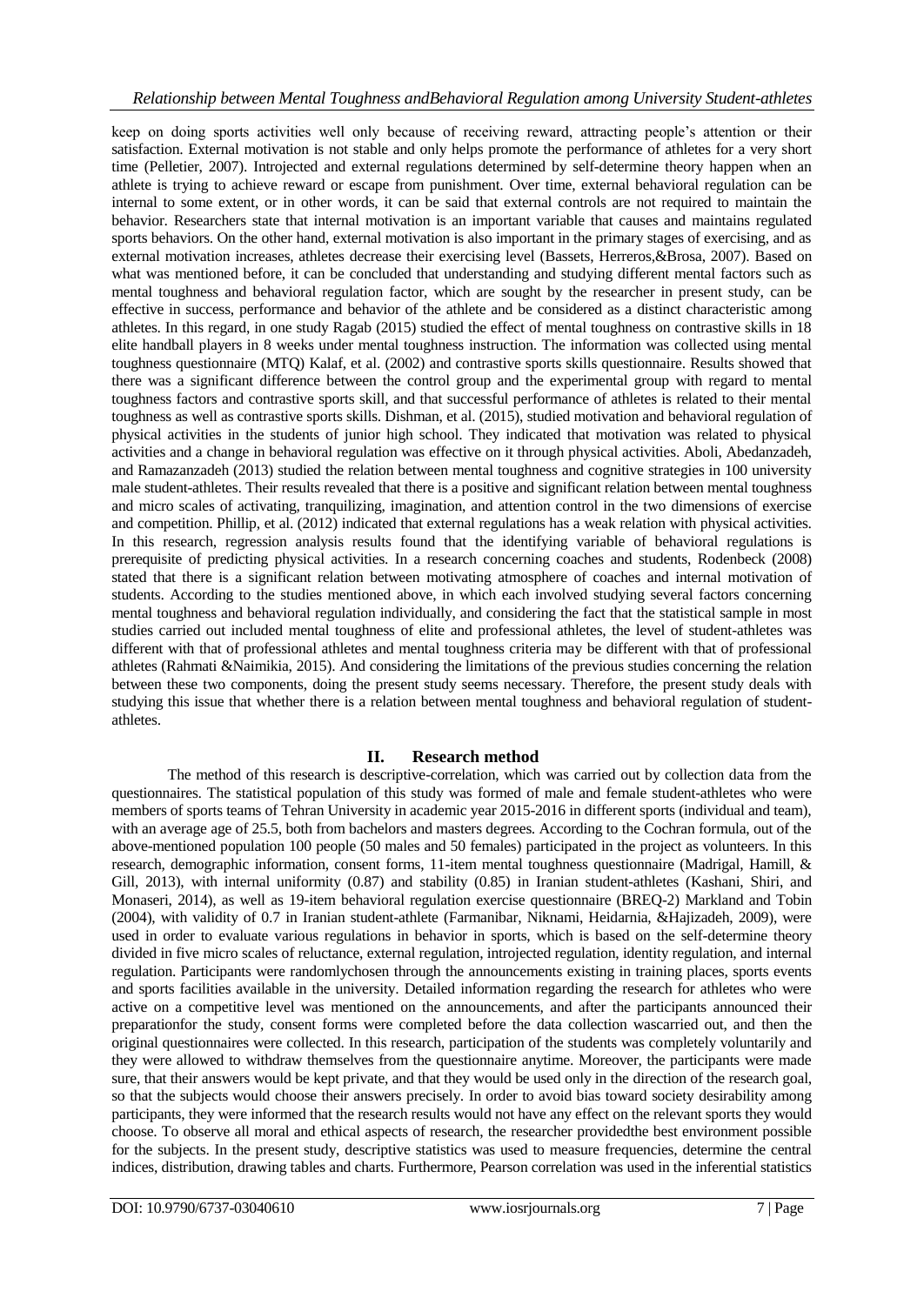### *Relationship between Mental Toughness andBehavioral Regulation among University Student-athletes*

keep on doing sports activities well only because of receiving reward, attracting people's attention or their satisfaction. External motivation is not stable and only helps promote the performance of athletes for a very short time (Pelletier, 2007). Introjected and external regulations determined by self-determine theory happen when an athlete is trying to achieve reward or escape from punishment. Over time, external behavioral regulation can be internal to some extent, or in other words, it can be said that external controls are not required to maintain the behavior. Researchers state that internal motivation is an important variable that causes and maintains regulated sports behaviors. On the other hand, external motivation is also important in the primary stages of exercising, and as external motivation increases, athletes decrease their exercising level (Bassets, Herreros,&Brosa, 2007). Based on what was mentioned before, it can be concluded that understanding and studying different mental factors such as mental toughness and behavioral regulation factor, which are sought by the researcher in present study, can be effective in success, performance and behavior of the athlete and be considered as a distinct characteristic among athletes. In this regard, in one study Ragab (2015) studied the effect of mental toughness on contrastive skills in 18 elite handball players in 8 weeks under mental toughness instruction. The information was collected using mental toughness questionnaire (MTQ) Kalaf, et al. (2002) and contrastive sports skills questionnaire. Results showed that there was a significant difference between the control group and the experimental group with regard to mental toughness factors and contrastive sports skill, and that successful performance of athletes is related to their mental toughness as well as contrastive sports skills. Dishman, et al. (2015), studied motivation and behavioral regulation of physical activities in the students of junior high school. They indicated that motivation was related to physical activities and a change in behavioral regulation was effective on it through physical activities. Aboli, Abedanzadeh, and Ramazanzadeh (2013) studied the relation between mental toughness and cognitive strategies in 100 university male student-athletes. Their results revealed that there is a positive and significant relation between mental toughness and micro scales of activating, tranquilizing, imagination, and attention control in the two dimensions of exercise and competition. Phillip, et al. (2012) indicated that external regulations has a weak relation with physical activities. In this research, regression analysis results found that the identifying variable of behavioral regulations is prerequisite of predicting physical activities. In a research concerning coaches and students, Rodenbeck (2008) stated that there is a significant relation between motivating atmosphere of coaches and internal motivation of students. According to the studies mentioned above, in which each involved studying several factors concerning mental toughness and behavioral regulation individually, and considering the fact that the statistical sample in most studies carried out included mental toughness of elite and professional athletes, the level of student-athletes was different with that of professional athletes and mental toughness criteria may be different with that of professional athletes (Rahmati &Naimikia, 2015). And considering the limitations of the previous studies concerning the relation between these two components, doing the present study seems necessary. Therefore, the present study deals with studying this issue that whether there is a relation between mental toughness and behavioral regulation of studentathletes.

### **II. Research method**

The method of this research is descriptive-correlation, which was carried out by collection data from the questionnaires. The statistical population of this study was formed of male and female student-athletes who were members of sports teams of Tehran University in academic year 2015-2016 in different sports (individual and team), with an average age of 25.5, both from bachelors and masters degrees. According to the Cochran formula, out of the above-mentioned population 100 people (50 males and 50 females) participated in the project as volunteers. In this research, demographic information, consent forms, 11-item mental toughness questionnaire (Madrigal, Hamill, & Gill, 2013), with internal uniformity (0.87) and stability (0.85) in Iranian student-athletes (Kashani, Shiri, and Monaseri, 2014), as well as 19-item behavioral regulation exercise questionnaire (BREQ-2) Markland and Tobin (2004), with validity of 0.7 in Iranian student-athlete (Farmanibar, Niknami, Heidarnia, &Hajizadeh, 2009), were used in order to evaluate various regulations in behavior in sports, which is based on the self-determine theory divided in five micro scales of reluctance, external regulation, introjected regulation, identity regulation, and internal regulation. Participants were randomlychosen through the announcements existing in training places, sports events and sports facilities available in the university. Detailed information regarding the research for athletes who were active on a competitive level was mentioned on the announcements, and after the participants announced their preparationfor the study, consent forms were completed before the data collection wascarried out, and then the original questionnaires were collected. In this research, participation of the students was completely voluntarily and they were allowed to withdraw themselves from the questionnaire anytime. Moreover, the participants were made sure, that their answers would be kept private, and that they would be used only in the direction of the research goal, so that the subjects would choose their answers precisely. In order to avoid bias toward society desirability among participants, they were informed that the research results would not have any effect on the relevant sports they would choose. To observe all moral and ethical aspects of research, the researcher providedthe best environment possible for the subjects. In the present study, descriptive statistics was used to measure frequencies, determine the central indices, distribution, drawing tables and charts. Furthermore, Pearson correlation was used in the inferential statistics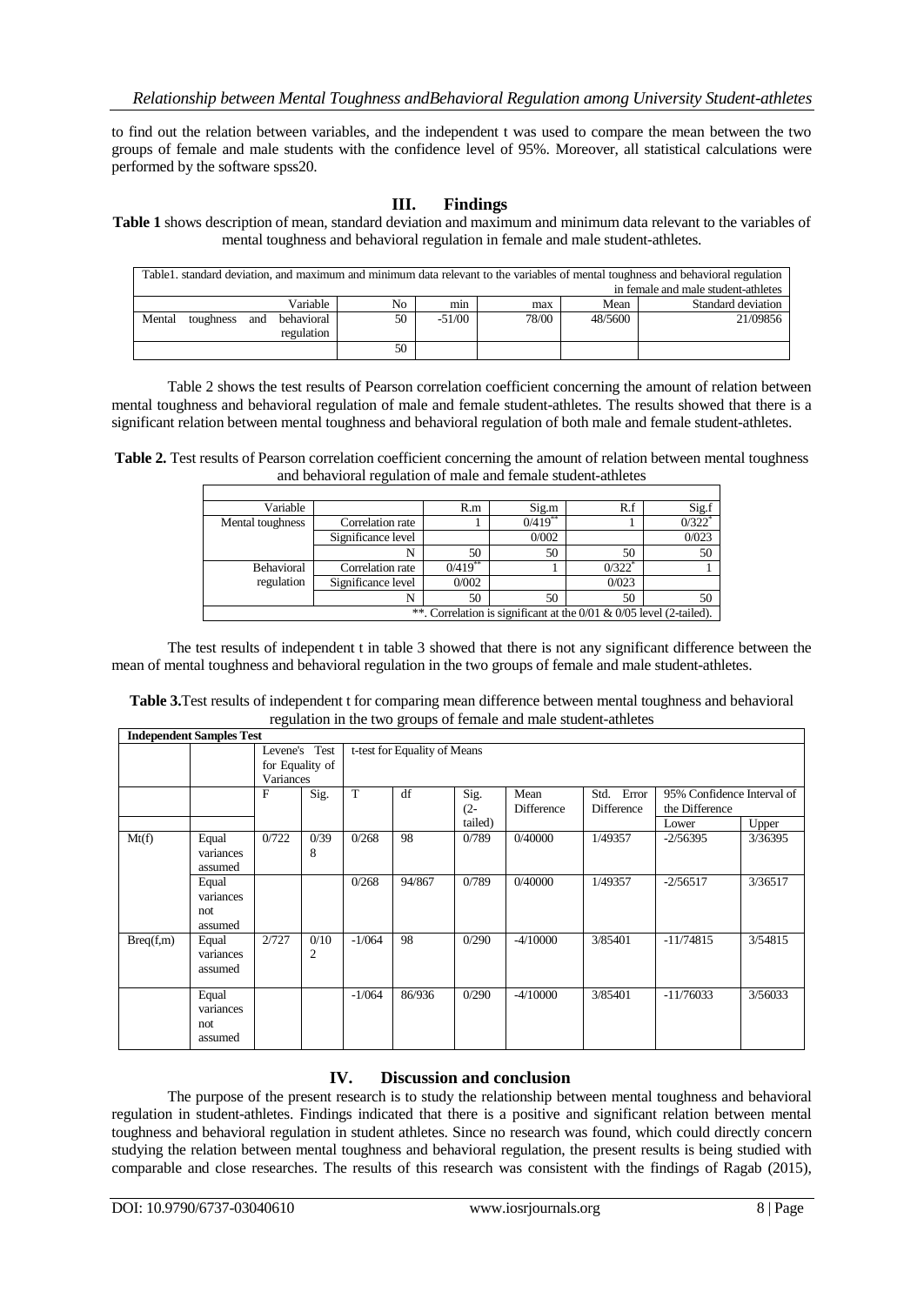to find out the relation between variables, and the independent t was used to compare the mean between the two groups of female and male students with the confidence level of 95%. Moreover, all statistical calculations were performed by the software spss20.

## **III. Findings**

**Table 1** shows description of mean, standard deviation and maximum and minimum data relevant to the variables of mental toughness and behavioral regulation in female and male student-athletes.

| Table1. standard deviation, and maximum and minimum data relevant to the variables of mental toughness and behavioral regulation |           |     |            |    |          |       |         |                    |
|----------------------------------------------------------------------------------------------------------------------------------|-----------|-----|------------|----|----------|-------|---------|--------------------|
| in female and male student-athletes                                                                                              |           |     |            |    |          |       |         |                    |
|                                                                                                                                  |           |     | Variable   | No | min      | max   | Mean    | Standard deviation |
| Mental                                                                                                                           | toughness | and | behavioral | 50 | $-51/00$ | 78/00 | 48/5600 | 21/09856           |
|                                                                                                                                  |           |     | regulation |    |          |       |         |                    |
|                                                                                                                                  |           |     |            | 50 |          |       |         |                    |

Table 2 shows the test results of Pearson correlation coefficient concerning the amount of relation between mental toughness and behavioral regulation of male and female student-athletes. The results showed that there is a significant relation between mental toughness and behavioral regulation of both male and female student-athletes.

**Table 2.** Test results of Pearson correlation coefficient concerning the amount of relation between mental toughness and behavioral regulation of male and female student-athletes

| Variable                                                                |                    | R.m        | Sig.m      | R.f                  | Sig.f                |  |  |
|-------------------------------------------------------------------------|--------------------|------------|------------|----------------------|----------------------|--|--|
| Mental toughness                                                        | Correlation rate   |            | $0/419$ ** |                      | $0/322$ <sup>*</sup> |  |  |
|                                                                         | Significance level |            | 0/002      |                      | 0/023                |  |  |
|                                                                         |                    | 50         | 50         | 50                   | 50                   |  |  |
| Behavioral                                                              | Correlation rate   | $0/419$ ** |            | $0/322$ <sup>*</sup> |                      |  |  |
| regulation                                                              | Significance level | 0/002      |            | 0/023                |                      |  |  |
|                                                                         |                    | 50         | 50         | 50                   | 50                   |  |  |
| **. Correlation is significant at the $0/01$ & $0/05$ level (2-tailed). |                    |            |            |                      |                      |  |  |

The test results of independent t in table 3 showed that there is not any significant difference between the mean of mental toughness and behavioral regulation in the two groups of female and male student-athletes.

| Table 3. Test results of independent t for comparing mean difference between mental toughness and behavioral |
|--------------------------------------------------------------------------------------------------------------|
| regulation in the two groups of female and male student-athletes                                             |

|           | <b>Independent Samples Test</b>       |                                               |           |                              |        |                           |                    |                             |                                              |         |
|-----------|---------------------------------------|-----------------------------------------------|-----------|------------------------------|--------|---------------------------|--------------------|-----------------------------|----------------------------------------------|---------|
|           |                                       | Levene's Test<br>for Equality of<br>Variances |           | t-test for Equality of Means |        |                           |                    |                             |                                              |         |
|           |                                       | $\mathbf{F}$                                  | Sig.      | T                            | df     | Sig.<br>$(2 -$<br>tailed) | Mean<br>Difference | Error<br>Std.<br>Difference | 95% Confidence Interval of<br>the Difference |         |
|           |                                       |                                               |           |                              |        |                           |                    |                             | Lower                                        | Upper   |
| Mt(f)     | Equal<br>variances<br>assumed         | 0/722                                         | 0/39<br>8 | 0/268                        | 98     | 0/789                     | 0/40000            | 1/49357                     | $-2/56395$                                   | 3/36395 |
|           | Equal<br>variances<br>not.<br>assumed |                                               |           | 0/268                        | 94/867 | 0/789                     | 0/40000            | 1/49357                     | $-2/56517$                                   | 3/36517 |
| Breq(f,m) | Equal<br>variances<br>assumed         | 2/727                                         | 0/10<br>2 | $-1/064$                     | 98     | 0/290                     | $-4/10000$         | 3/85401                     | $-11/74815$                                  | 3/54815 |
|           | Equal<br>variances<br>not.<br>assumed |                                               |           | $-1/064$                     | 86/936 | 0/290                     | $-4/10000$         | 3/85401                     | $-11/76033$                                  | 3/56033 |

### **IV. Discussion and conclusion**

The purpose of the present research is to study the relationship between mental toughness and behavioral regulation in student-athletes. Findings indicated that there is a positive and significant relation between mental toughness and behavioral regulation in student athletes. Since no research was found, which could directly concern studying the relation between mental toughness and behavioral regulation, the present results is being studied with comparable and close researches. The results of this research was consistent with the findings of Ragab (2015),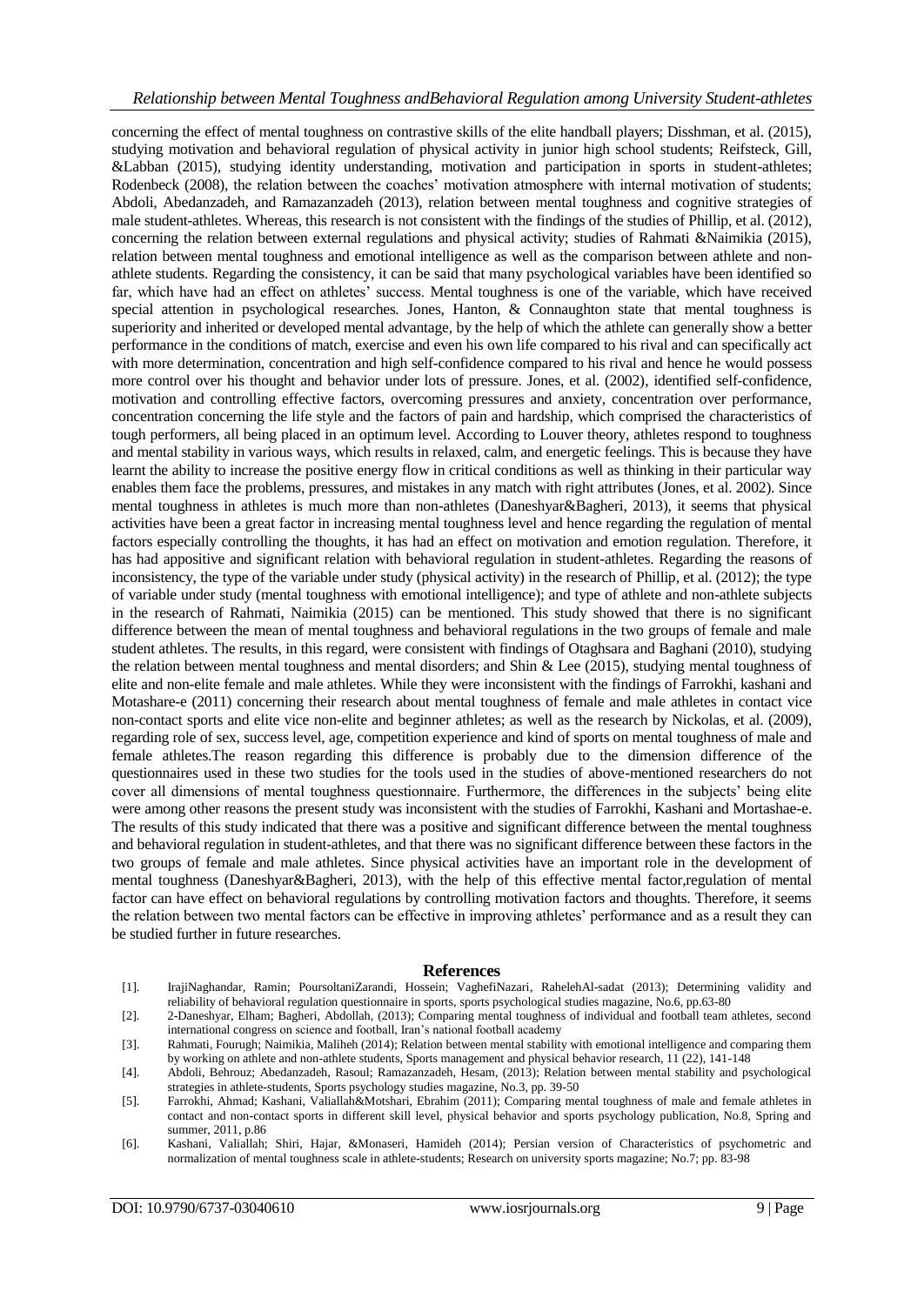concerning the effect of mental toughness on contrastive skills of the elite handball players; Disshman, et al. (2015), studying motivation and behavioral regulation of physical activity in junior high school students; Reifsteck, Gill, &Labban (2015), studying identity understanding, motivation and participation in sports in student-athletes; Rodenbeck (2008), the relation between the coaches' motivation atmosphere with internal motivation of students; Abdoli, Abedanzadeh, and Ramazanzadeh (2013), relation between mental toughness and cognitive strategies of male student-athletes. Whereas, this research is not consistent with the findings of the studies of Phillip, et al. (2012), concerning the relation between external regulations and physical activity; studies of Rahmati &Naimikia (2015), relation between mental toughness and emotional intelligence as well as the comparison between athlete and nonathlete students. Regarding the consistency, it can be said that many psychological variables have been identified so far, which have had an effect on athletes' success. Mental toughness is one of the variable, which have received special attention in psychological researches. Jones, Hanton, & Connaughton state that mental toughness is superiority and inherited or developed mental advantage, by the help of which the athlete can generally show a better performance in the conditions of match, exercise and even his own life compared to his rival and can specifically act with more determination, concentration and high self-confidence compared to his rival and hence he would possess more control over his thought and behavior under lots of pressure. Jones, et al. (2002), identified self-confidence, motivation and controlling effective factors, overcoming pressures and anxiety, concentration over performance, concentration concerning the life style and the factors of pain and hardship, which comprised the characteristics of tough performers, all being placed in an optimum level. According to Louver theory, athletes respond to toughness and mental stability in various ways, which results in relaxed, calm, and energetic feelings. This is because they have learnt the ability to increase the positive energy flow in critical conditions as well as thinking in their particular way enables them face the problems, pressures, and mistakes in any match with right attributes (Jones, et al. 2002). Since mental toughness in athletes is much more than non-athletes (Daneshyar&Bagheri, 2013), it seems that physical activities have been a great factor in increasing mental toughness level and hence regarding the regulation of mental factors especially controlling the thoughts, it has had an effect on motivation and emotion regulation. Therefore, it has had appositive and significant relation with behavioral regulation in student-athletes. Regarding the reasons of inconsistency, the type of the variable under study (physical activity) in the research of Phillip, et al. (2012); the type of variable under study (mental toughness with emotional intelligence); and type of athlete and non-athlete subjects in the research of Rahmati, Naimikia (2015) can be mentioned. This study showed that there is no significant difference between the mean of mental toughness and behavioral regulations in the two groups of female and male student athletes. The results, in this regard, were consistent with findings of Otaghsara and Baghani (2010), studying the relation between mental toughness and mental disorders; and Shin & Lee (2015), studying mental toughness of elite and non-elite female and male athletes. While they were inconsistent with the findings of Farrokhi, kashani and Motashare-e (2011) concerning their research about mental toughness of female and male athletes in contact vice non-contact sports and elite vice non-elite and beginner athletes; as well as the research by Nickolas, et al. (2009), regarding role of sex, success level, age, competition experience and kind of sports on mental toughness of male and female athletes.The reason regarding this difference is probably due to the dimension difference of the questionnaires used in these two studies for the tools used in the studies of above-mentioned researchers do not cover all dimensions of mental toughness questionnaire. Furthermore, the differences in the subjects' being elite were among other reasons the present study was inconsistent with the studies of Farrokhi, Kashani and Mortashae-e. The results of this study indicated that there was a positive and significant difference between the mental toughness and behavioral regulation in student-athletes, and that there was no significant difference between these factors in the two groups of female and male athletes. Since physical activities have an important role in the development of mental toughness (Daneshyar&Bagheri, 2013), with the help of this effective mental factor,regulation of mental factor can have effect on behavioral regulations by controlling motivation factors and thoughts. Therefore, it seems the relation between two mental factors can be effective in improving athletes' performance and as a result they can be studied further in future researches.

#### **References**

- [1]. IrajiNaghandar, Ramin; PoursoltaniZarandi, Hossein; VaghefiNazari, RahelehAl-sadat (2013); Determining validity and reliability of behavioral regulation questionnaire in sports, sports psychological studies magazine, No.6, pp.63-80
- [2]. 2-Daneshyar, Elham; Bagheri, Abdollah, (2013); Comparing mental toughness of individual and football team athletes, second international congress on science and football, Iran's national football academy
- [3]. Rahmati, Fourugh; Naimikia, Maliheh (2014); Relation between mental stability with emotional intelligence and comparing them by working on athlete and non-athlete students, Sports management and physical behavior research, 11 (22), 141-148
- [4]. Abdoli, Behrouz; Abedanzadeh, Rasoul; Ramazanzadeh, Hesam, (2013); Relation between mental stability and psychological strategies in athlete-students, Sports psychology studies magazine, No.3, pp. 39-50
- [5]. Farrokhi, Ahmad; Kashani, Valiallah&Motshari, Ebrahim (2011); Comparing mental toughness of male and female athletes in contact and non-contact sports in different skill level, physical behavior and sports psychology publication, No.8, Spring and summer, 2011, p.86
- [6]. Kashani, Valiallah; Shiri, Hajar, &Monaseri, Hamideh (2014); Persian version of Characteristics of psychometric and normalization of mental toughness scale in athlete-students; Research on university sports magazine; No.7; pp. 83-98